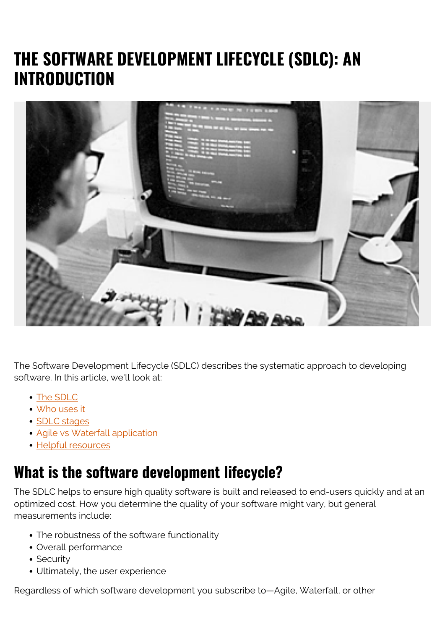# **THE SOFTWARE DEVELOPMENT LIFECYCLE (SDLC): AN INTRODUCTION**



The Software Development Lifecycle (SDLC) describes the systematic approach to developing software. In this article, we'll look at:

- [The SDLC](#page--1-0)
- [Who uses it](#page--1-0)
- [SDLC stages](#page--1-0)
- [Agile vs Waterfall application](#page--1-0)
- [Helpful resources](#page--1-0)

### **What is the software development lifecycle?**

The SDLC helps to ensure high quality software is built and released to end-users quickly and at an optimized cost. How you determine the quality of your software might vary, but general measurements include:

- The robustness of the software functionality
- Overall performance
- Security
- Ultimately, the user experience

Regardless of which software development you subscribe to—Agile, Waterfall, or other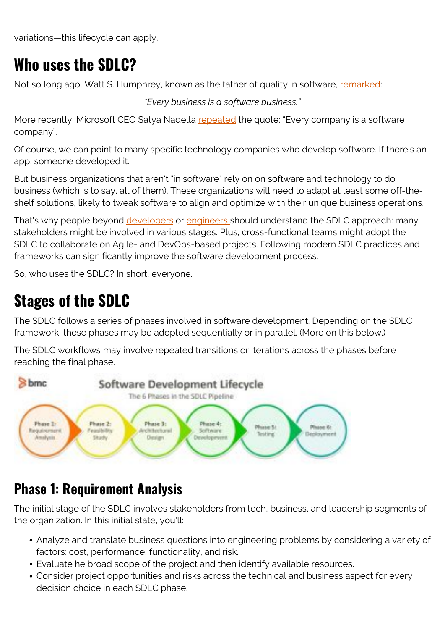variations—this lifecycle can apply.

## **Who uses the SDLC?**

Not so long ago, Watt S. Humphrey, known as the father of quality in software, [remarked:](https://quidgest.com/en/articles/every-business-software-business/)

*"Every business is a software business."*

More recently, Microsoft CEO Satya Nadella [repeated](https://news.microsoft.com/en-gb/2018/11/07/microsoft-ceo-satya-nadella-on-fuelling-tech-intensity-in-the-uk/) the quote: "Every company is a software company".

Of course, we can point to many specific technology companies who develop software. If there's an app, someone developed it.

But business organizations that aren't "in software" rely on on software and technology to do business (which is to say, all of them). These organizations will need to adapt at least some off-theshelf solutions, likely to tweak software to align and optimize with their unique business operations.

That's why people beyond [developers](https://blogs.bmc.com/blogs/application-developer-roles-responsibilities/) or [engineers s](https://blogs.bmc.com/blogs/devops-engineer-roles-and-responsibilities/)hould understand the SDLC approach: many stakeholders might be involved in various stages. Plus, cross-functional teams might adopt the SDLC to collaborate on Agile- and DevOps-based projects. Following modern SDLC practices and frameworks can significantly improve the software development process.

So, who uses the SDLC? In short, everyone.

## **Stages of the SDLC**

The SDLC follows a series of phases involved in software development. Depending on the SDLC framework, these phases may be adopted sequentially or in parallel. (More on this below.)

The SDLC workflows may involve repeated transitions or iterations across the phases before reaching the final phase.



#### **Phase 1: Requirement Analysis**

The initial stage of the SDLC involves stakeholders from tech, business, and leadership segments of the organization. In this initial state, you'll:

- Analyze and translate business questions into engineering problems by considering a variety of factors: cost, performance, functionality, and risk.
- Evaluate he broad scope of the project and then identify available resources.
- Consider project opportunities and risks across the technical and business aspect for every decision choice in each SDLC phase.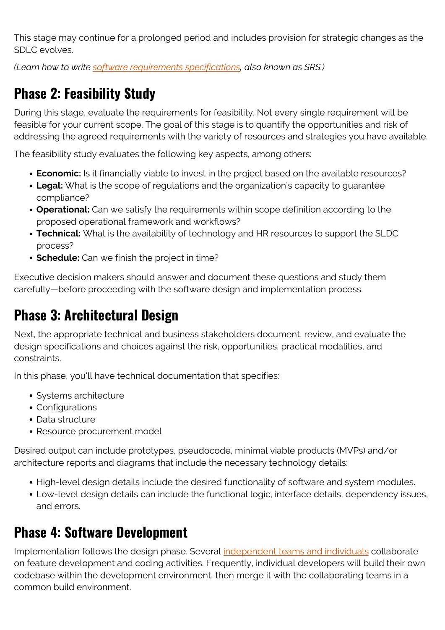This stage may continue for a prolonged period and includes provision for strategic changes as the SDLC evolves.

*(Learn how to write [software requirements specifications](https://blogs.bmc.com/blogs/software-requirements-specification-how-to-write-srs-with-examples/), also known as SRS.)*

## **Phase 2: Feasibility Study**

During this stage, evaluate the requirements for feasibility. Not every single requirement will be feasible for your current scope. The goal of this stage is to quantify the opportunities and risk of addressing the agreed requirements with the variety of resources and strategies you have available.

The feasibility study evaluates the following key aspects, among others:

- **Economic:** Is it financially viable to invest in the project based on the available resources?
- **Legal:** What is the scope of regulations and the organization's capacity to guarantee compliance?
- **Operational:** Can we satisfy the requirements within scope definition according to the proposed operational framework and workflows?
- **Technical:** What is the availability of technology and HR resources to support the SLDC process?
- **Schedule:** Can we finish the project in time?

Executive decision makers should answer and document these questions and study them carefully—before proceeding with the software design and implementation process.

#### **Phase 3: Architectural Design**

Next, the appropriate technical and business stakeholders document, review, and evaluate the design specifications and choices against the risk, opportunities, practical modalities, and constraints.

In this phase, you'll have technical documentation that specifies:

- Systems architecture
- Configurations
- Data structure
- Resource procurement model

Desired output can include prototypes, pseudocode, minimal viable products (MVPs) and/or architecture reports and diagrams that include the necessary technology details:

- High-level design details include the desired functionality of software and system modules.
- Low-level design details can include the functional logic, interface details, dependency issues, and errors.

#### **Phase 4: Software Development**

Implementation follows the design phase. Several *independent teams and individuals* collaborate on feature development and coding activities. Frequently, individual developers will build their own codebase within the development environment, then merge it with the collaborating teams in a common build environment.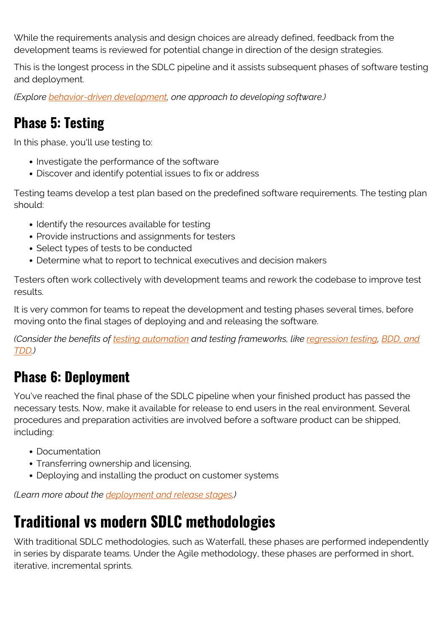While the requirements analysis and design choices are already defined, feedback from the development teams is reviewed for potential change in direction of the design strategies.

This is the longest process in the SDLC pipeline and it assists subsequent phases of software testing and deployment.

*(Explore [behavior-driven development](https://blogs.bmc.com/blogs/behavior-driven-development-bdd/), one approach to developing software.)*

#### **Phase 5: Testing**

In this phase, you'll use testing to:

- Investigate the performance of the software
- Discover and identify potential issues to fix or address

Testing teams develop a test plan based on the predefined software requirements. The testing plan should:

- Identify the resources available for testing
- Provide instructions and assignments for testers
- Select types of tests to be conducted
- Determine what to report to technical executives and decision makers

Testers often work collectively with development teams and rework the codebase to improve test results.

It is very common for teams to repeat the development and testing phases several times, before moving onto the final stages of deploying and and releasing the software.

*(Consider the benefits of [testing automation](https://blogs.bmc.com/blogs/testing-automation/) and testing frameworks, like [regression testing](https://blogs.bmc.com/blogs/regression-testing/), [BDD, and](https://blogs.bmc.com/blogs/testing-frameworks-unit-functional-tdd-bdd/) [TDD](https://blogs.bmc.com/blogs/testing-frameworks-unit-functional-tdd-bdd/).)*

### **Phase 6: Deployment**

You've reached the final phase of the SDLC pipeline when your finished product has passed the necessary tests. Now, make it available for release to end users in the real environment. Several procedures and preparation activities are involved before a software product can be shipped, including:

- Documentation
- Transferring ownership and licensing,
- Deploying and installing the product on customer systems

*(Learn more about the [deployment and release stages.](https://blogs.bmc.com/blogs/software-deployment-vs-release/))*

## **Traditional vs modern SDLC methodologies**

With traditional SDLC methodologies, such as Waterfall, these phases are performed independently in series by disparate teams. Under the Agile methodology, these phases are performed in short, iterative, incremental sprints.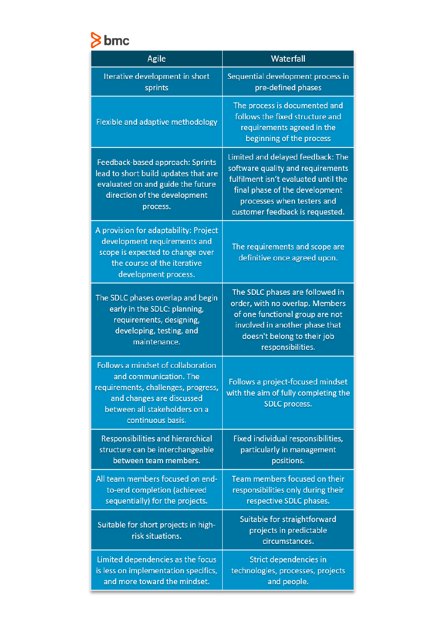# bmc

| Agile                                                                                                                                                                                  | Waterfall                                                                                                                                                                                                         |
|----------------------------------------------------------------------------------------------------------------------------------------------------------------------------------------|-------------------------------------------------------------------------------------------------------------------------------------------------------------------------------------------------------------------|
| Iterative development in short<br>sprints                                                                                                                                              | Sequential development process in<br>pre-defined phases                                                                                                                                                           |
| Flexible and adaptive methodology                                                                                                                                                      | The process is documented and<br>follows the fixed structure and<br>requirements agreed in the<br>beginning of the process                                                                                        |
| Feedback-based approach: Sprints<br>lead to short build updates that are<br>evaluated on and guide the future<br>direction of the development<br>process.                              | Limited and delayed feedback: The<br>software quality and requirements<br>fulfilment isn't evaluated until the<br>final phase of the development<br>processes when testers and<br>customer feedback is requested. |
| A provision for adaptability: Project<br>development requirements and<br>scope is expected to change over<br>the course of the iterative<br>development process.                       | The requirements and scope are<br>definitive once agreed upon.                                                                                                                                                    |
| The SDLC phases overlap and begin<br>early in the SDLC: planning,<br>requirements, designing,<br>developing, testing, and<br>maintenance.                                              | The SDLC phases are followed in<br>order, with no overlap. Members<br>of one functional group are not<br>involved in another phase that<br>doesn't belong to their job<br>responsibilities.                       |
| Follows a mindset of collaboration<br>and communication. The<br>requirements, challenges, progress,<br>and changes are discussed<br>between all stakeholders on a<br>continuous basis. | Follows a project-focused mindset<br>with the aim of fully completing the<br><b>SDLC</b> process.                                                                                                                 |
| Responsibilities and hierarchical<br>structure can be interchangeable<br>between team members.                                                                                         | Fixed individual responsibilities,<br>particularly in management<br>positions.                                                                                                                                    |
| All team members focused on end-<br>to-end completion (achieved<br>sequentially) for the projects.                                                                                     | Team members focused on their<br>responsibilities only during their<br>respective SDLC phases.                                                                                                                    |
| Suitable for short projects in high-<br>risk situations.                                                                                                                               | Suitable for straightforward<br>projects in predictable<br>circumstances.                                                                                                                                         |
| Limited dependencies as the focus<br>is less on implementation specifics,<br>and more toward the mindset.                                                                              | Strict dependencies in<br>technologies, processes, projects<br>and people.                                                                                                                                        |